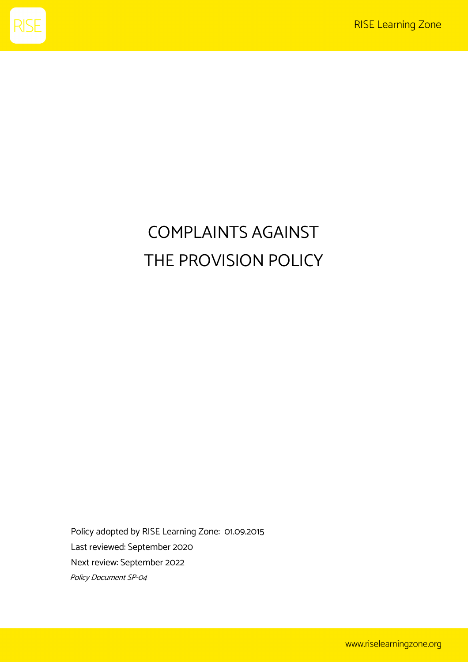

# COMPLAINTS AGAINST THE PROVISION POLICY

Policy adopted by RISE Learning Zone: 01.09.2015 Last reviewed: September 2020 Next review: September 2022 Policy Document SP-04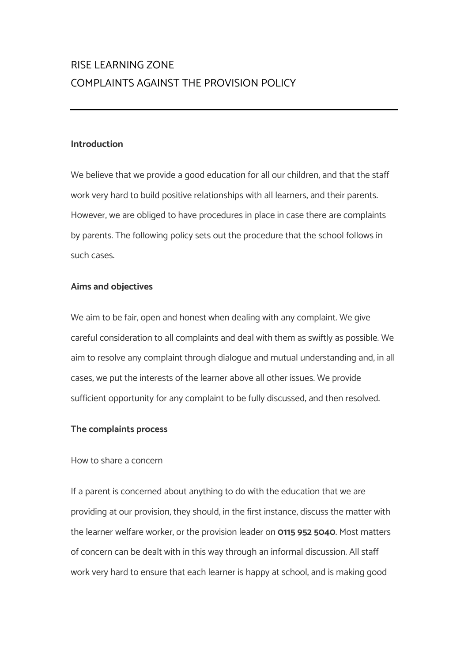## RISE LEARNING ZONE COMPLAINTS AGAINST THE PROVISION POLICY

#### **Introduction**

We believe that we provide a good education for all our children, and that the staff work very hard to build positive relationships with all learners, and their parents. However, we are obliged to have procedures in place in case there are complaints by parents. The following policy sets out the procedure that the school follows in such cases.

#### **Aims and objectives**

We aim to be fair, open and honest when dealing with any complaint. We give careful consideration to all complaints and deal with them as swiftly as possible. We aim to resolve any complaint through dialogue and mutual understanding and, in all cases, we put the interests of the learner above all other issues. We provide sufficient opportunity for any complaint to be fully discussed, and then resolved.

#### **The complaints process**

#### How to share a concern

If a parent is concerned about anything to do with the education that we are providing at our provision, they should, in the first instance, discuss the matter with the learner welfare worker, or the provision leader on **0115 952 5040**. Most matters of concern can be dealt with in this way through an informal discussion. All staff work very hard to ensure that each learner is happy at school, and is making good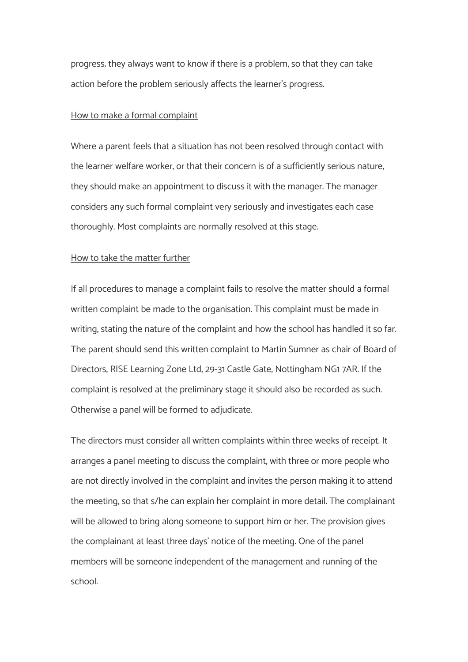progress; they always want to know if there is a problem, so that they can take action before the problem seriously affects the learner's progress.

#### How to make a formal complaint

Where a parent feels that a situation has not been resolved through contact with the learner welfare worker, or that their concern is of a sufficiently serious nature, they should make an appointment to discuss it with the manager. The manager considers any such formal complaint very seriously and investigates each case thoroughly. Most complaints are normally resolved at this stage.

#### How to take the matter further

If all procedures to manage a complaint fails to resolve the matter should a formal written complaint be made to the organisation. This complaint must be made in writing, stating the nature of the complaint and how the school has handled it so far. The parent should send this written complaint to Martin Sumner as chair of Board of Directors, RISE Learning Zone Ltd, 29-31 Castle Gate, Nottingham NG1 7AR. If the complaint is resolved at the preliminary stage it should also be recorded as such. Otherwise a panel will be formed to adjudicate.

The directors must consider all written complaints within three weeks of receipt. It arranges a panel meeting to discuss the complaint, with three or more people who are not directly involved in the complaint and invites the person making it to attend the meeting, so that s/he can explain her complaint in more detail. The complainant will be allowed to bring along someone to support him or her. The provision gives the complainant at least three days' notice of the meeting. One of the panel members will be someone independent of the management and running of the school.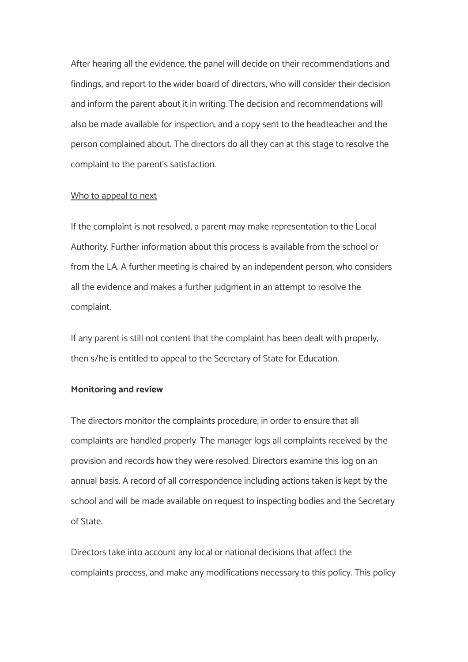After hearing all the evidence, the panel will decide on their recommendations and findings, and report to the wider board of directors, who will consider their decision and inform the parent about it in writing. The decision and recommendations will also be made available for inspection, and a copy sent to the headteacher and the person complained about. The directors do all they can at this stage to resolve the complaint to the parent's satisfaction.

#### Who to appeal to next

If the complaint is not resolved, a parent may make representation to the Local Authority. Further information about this process is available from the school or from the LA. A further meeting is chaired by an independent person, who considers all the evidence and makes a further judgment in an attempt to resolve the complaint.

If any parent is still not content that the complaint has been dealt with properly, then s/he is entitled to appeal to the Secretary of State for Education.

#### **Monitoring and review**

The directors monitor the complaints procedure, in order to ensure that all complaints are handled properly. The manager logs all complaints received by the provision and records how they were resolved. Directors examine this log on an annual basis. A record of all correspondence including actions taken is kept by the school and will be made available on request to inspecting bodies and the Secretary of State.

Directors take into account any local or national decisions that affect the complaints process, and make any modifications necessary to this policy. This policy